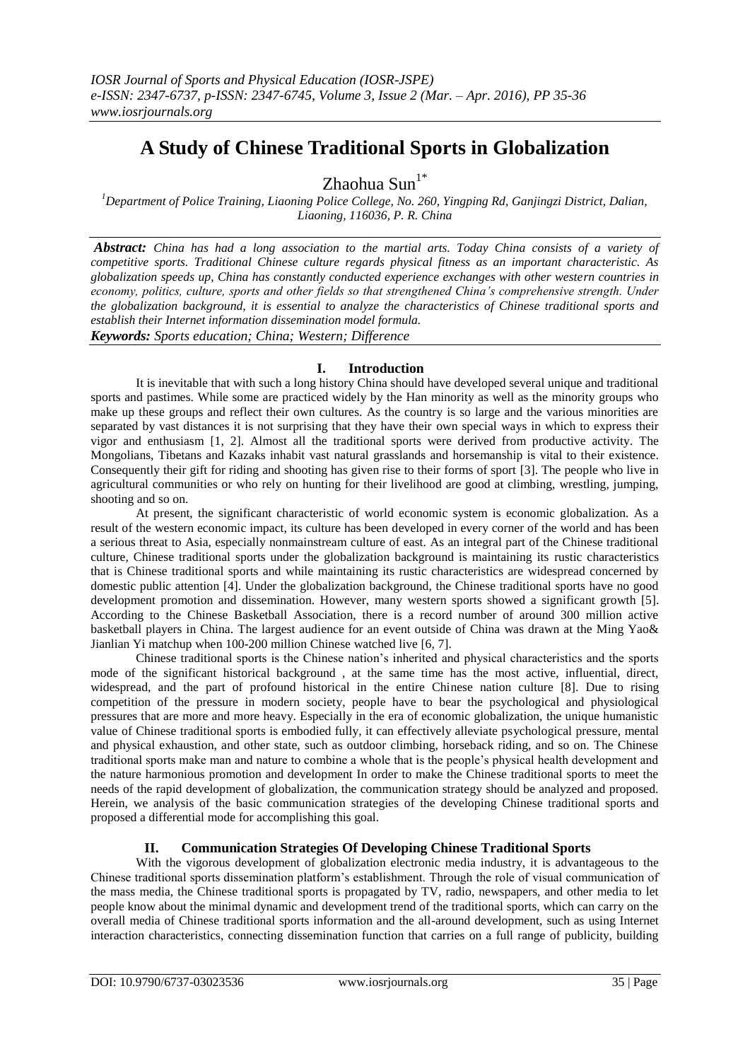# **A Study of Chinese Traditional Sports in Globalization**

Zhaohua Sun $1^*$ 

*<sup>1</sup>Department of Police Training, Liaoning Police College, No. 260, Yingping Rd, Ganjingzi District, Dalian, Liaoning, 116036, P. R. China*

*Abstract: China has had a long association to the martial arts. Today China consists of a variety of competitive sports. Traditional Chinese culture regards physical fitness as an important characteristic. As globalization speeds up, China has constantly conducted experience exchanges with other western countries in economy, politics, culture, sports and other fields so that strengthened China's comprehensive strength. Under the globalization background, it is essential to analyze the characteristics of Chinese traditional sports and establish their Internet information dissemination model formula. Keywords: Sports education; China; Western; Difference*

## **I. Introduction**

It is inevitable that with such a long history China should have developed several unique and traditional sports and pastimes. While some are practiced widely by the Han minority as well as the minority groups who make up these groups and reflect their own cultures. As the country is so large and the various minorities are separated by vast distances it is not surprising that they have their own special ways in which to express their vigor and enthusiasm [\[1,](#page-1-0) [2\]](#page-1-1). Almost all the traditional sports were derived from productive activity. The Mongolians, Tibetans and Kazaks inhabit vast natural grasslands and horsemanship is vital to their existence. Consequently their gift for riding and shooting has given rise to their forms of sport [\[3\]](#page-1-2). The people who live in agricultural communities or who rely on hunting for their livelihood are good at climbing, wrestling, jumping, shooting and so on.

At present, the significant characteristic of world economic system is economic globalization. As a result of the western economic impact, its culture has been developed in every corner of the world and has been a serious threat to Asia, especially nonmainstream culture of east. As an integral part of the Chinese traditional culture, Chinese traditional sports under the globalization background is maintaining its rustic characteristics that is Chinese traditional sports and while maintaining its rustic characteristics are widespread concerned by domestic public attention [\[4\]](#page-1-3). Under the globalization background, the Chinese traditional sports have no good development promotion and dissemination. However, many western sports showed a significant growth [\[5\]](#page-1-4). According to the Chinese Basketball Association, there is a record number of around 300 million active basketball players in China. The largest audience for an event outside of China was drawn at the Ming Yao& Jianlian Yi matchup when 100-200 million Chinese watched live [\[6,](#page-1-5) [7\]](#page-1-6).

Chinese traditional sports is the Chinese nation's inherited and physical characteristics and the sports mode of the significant historical background , at the same time has the most active, influential, direct, widespread, and the part of profound historical in the entire Chinese nation culture [\[8\]](#page-1-7). Due to rising competition of the pressure in modern society, people have to bear the psychological and physiological pressures that are more and more heavy. Especially in the era of economic globalization, the unique humanistic value of Chinese traditional sports is embodied fully, it can effectively alleviate psychological pressure, mental and physical exhaustion, and other state, such as outdoor climbing, horseback riding, and so on. The Chinese traditional sports make man and nature to combine a whole that is the people's physical health development and the nature harmonious promotion and development In order to make the Chinese traditional sports to meet the needs of the rapid development of globalization, the communication strategy should be analyzed and proposed. Herein, we analysis of the basic communication strategies of the developing Chinese traditional sports and proposed a differential mode for accomplishing this goal.

## **II. Communication Strategies Of Developing Chinese Traditional Sports**

With the vigorous development of globalization electronic media industry, it is advantageous to the Chinese traditional sports dissemination platform's establishment. Through the role of visual communication of the mass media, the Chinese traditional sports is propagated by TV, radio, newspapers, and other media to let people know about the minimal dynamic and development trend of the traditional sports, which can carry on the overall media of Chinese traditional sports information and the all-around development, such as using Internet interaction characteristics, connecting dissemination function that carries on a full range of publicity, building